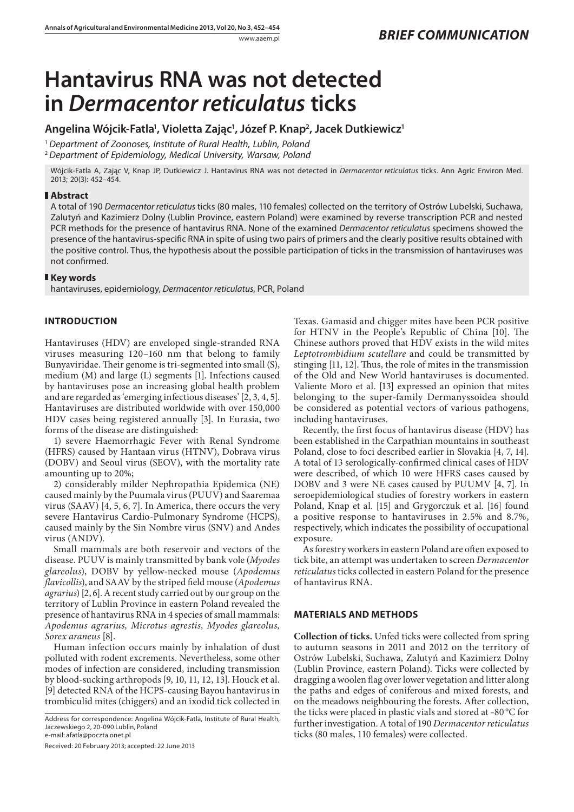# **Hantavirus RNA was not detected in** *Dermacentor reticulatus* **ticks**

Angelina Wójcik-Fatla<sup>1</sup>, Violetta Zając<sup>1</sup>, Józef P. Knap<sup>2</sup>, Jacek Dutkiewicz<sup>1</sup>

<sup>1</sup>*Department of Zoonoses, Institute of Rural Health, Lublin, Poland* <sup>2</sup>*Department of Epidemiology, Medical University, Warsaw, Poland*

Wójcik-Fatla A, Zając V, Knap JP, Dutkiewicz J. Hantavirus RNA was not detected in *Dermacentor reticulatus* ticks. Ann Agric Environ Med. 2013; 20(3): 452–454.

## **Abstract**

A total of 190 *Dermacentor reticulatus* ticks (80 males, 110 females) collected on the territory of Ostrów Lubelski, Suchawa, Zalutyń and Kazimierz Dolny (Lublin Province, eastern Poland) were examined by reverse transcription PCR and nested PCR methods for the presence of hantavirus RNA. None of the examined *Dermacentor reticulatus* specimens showed the presence of the hantavirus-specific RNA in spite of using two pairs of primers and the clearly positive results obtained with the positive control. Thus, the hypothesis about the possible participation of ticks in the transmission of hantaviruses was not confirmed.

### **Key words**

hantaviruses, epidemiology, *Dermacentor reticulatus*, PCR, Poland

# **INTRODUCTION**

Hantaviruses (HDV) are enveloped single-stranded RNA viruses measuring 120–160 nm that belong to family Bunyaviridae. Their genome is tri-segmented into small (S), medium (M) and large (L) segments [1]. Infections caused by hantaviruses pose an increasing global health problem and are regarded as 'emerging infectious diseases' [2, 3, 4, 5]. Hantaviruses are distributed worldwide with over 150,000 HDV cases being registered annually [3]. In Eurasia, two forms of the disease are distinguished:

1) severe Haemorrhagic Fever with Renal Syndrome (HFRS) caused by Hantaan virus (HTNV), Dobrava virus (DOBV) and Seoul virus (SEOV), with the mortality rate amounting up to 20%;

2) considerably milder Nephropathia Epidemica (NE) caused mainly by the Puumala virus (PUUV) and Saaremaa virus (SAAV) [4, 5, 6, 7]. In America, there occurs the very severe Hantavirus Cardio-Pulmonary Syndrome (HCPS), caused mainly by the Sin Nombre virus (SNV) and Andes virus (ANDV).

Small mammals are both reservoir and vectors of the disease. PUUV is mainly transmitted by bank vole (*Myodes glareolus*), DOBV by yellow-necked mouse (*Apodemus flavicollis*), and SAAV by the striped field mouse (*Apodemus agrarius*) [2, 6]. A recent study carried out by our group on the territory of Lublin Province in eastern Poland revealed the presence of hantavirus RNA in 4 species of small mammals: *Apodemus agrarius, Microtus agrestis, Myodes glareolus, Sorex araneus* [8].

Human infection occurs mainly by inhalation of dust polluted with rodent excrements. Nevertheless, some other modes of infection are considered, including transmission by blood-sucking arthropods [9, 10, 11, 12, 13]. Houck et al. [9] detected RNA of the HCPS-causing Bayou hantavirus in trombiculid mites (chiggers) and an ixodid tick collected in

Address for correspondence: Angelina Wójcik-Fatla, Institute of Rural Health, Jaczewskiego 2, 20-090 Lublin, Poland e-mail: afatla@poczta.onet.pl

Received: 20 February 2013; accepted: 22 June 2013

Texas. Gamasid and chigger mites have been PCR positive for HTNV in the People's Republic of China [10]. The Chinese authors proved that HDV exists in the wild mites *Leptotrombidium scutellare* and could be transmitted by stinging [11, 12]. Thus, the role of mites in the transmission of the Old and New World hantaviruses is documented. Valiente Moro et al. [13] expressed an opinion that mites belonging to the super-family Dermanyssoidea should be considered as potential vectors of various pathogens, including hantaviruses.

Recently, the first focus of hantavirus disease (HDV) has been established in the Carpathian mountains in southeast Poland, close to foci described earlier in Slovakia [4, 7, 14]. A total of 13 serologically-confirmed clinical cases of HDV were described, of which 10 were HFRS cases caused by DOBV and 3 were NE cases caused by PUUMV [4, 7]. In seroepidemiological studies of forestry workers in eastern Poland, Knap et al. [15] and Grygorczuk et al. [16] found a positive response to hantaviruses in 2.5% and 8.7%, respectively, which indicates the possibility of occupational exposure.

As forestry workers in eastern Poland are often exposed to tick bite, an attempt was undertaken to screen *Dermacentor reticulatus* ticks collected in eastern Poland for the presence of hantavirus RNA.

## **MATERIALS AND METHODS**

**Collection of ticks.** Unfed ticks were collected from spring to autumn seasons in 2011 and 2012 on the territory of Ostrów Lubelski, Suchawa, Zalutyń and Kazimierz Dolny (Lublin Province, eastern Poland). Ticks were collected by dragging a woolen flag over lower vegetation and litter along the paths and edges of coniferous and mixed forests, and on the meadows neighbouring the forests. After collection, the ticks were placed in plastic vials and stored at –80 °C for further investigation. A total of 190 *Dermacentor reticulatus*  ticks (80 males, 110 females) were collected.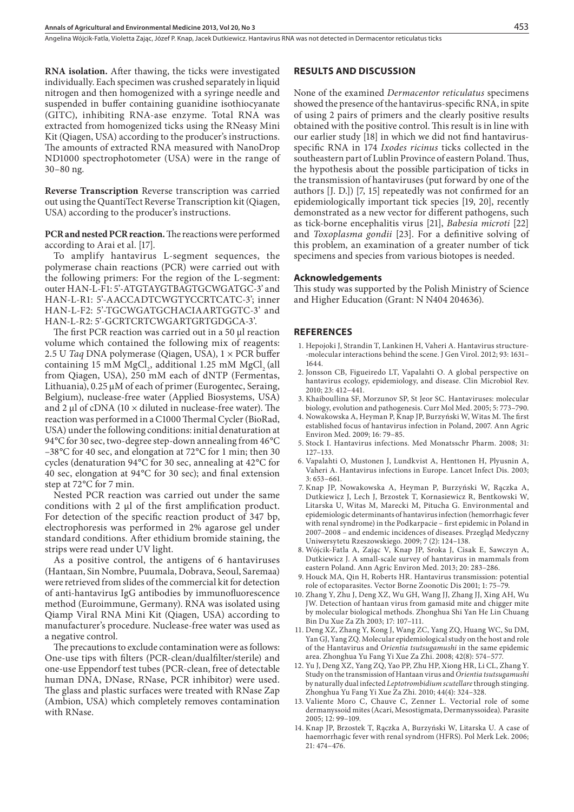**RNA isolation.** After thawing, the ticks were investigated individually. Each specimen was crushed separately in liquid nitrogen and then homogenized with a syringe needle and suspended in buffer containing guanidine isothiocyanate (GITC), inhibiting RNA-ase enzyme. Total RNA was extracted from homogenized ticks using the RNeasy Mini Kit (Qiagen, USA) according to the producer's instructions. The amounts of extracted RNA measured with NanoDrop ND1000 spectrophotometer (USA) were in the range of 30–80 ng.

**Reverse Transcription** Reverse transcription was carried out using the QuantiTect Reverse Transcription kit (Qiagen, USA) according to the producer's instructions.

**PCR and nested PCR reaction.** The reactions were performed according to Arai et al. [17].

To amplify hantavirus L-segment sequences, the polymerase chain reactions (PCR) were carried out with the following primers: For the region of the L-segment: outer HAN-L-F1: 5'-ATGTAYGTBAGTGCWGATGC-3' and HAN-L-R1: 5'-AACCADTCWGTYCCRTCATC-3'; inner HAN-L-F2: 5'-TGCWGATGCHACIAARTGGTC-3' and HAN-L-R2: 5'-GCRTCRTCWGARTGRTGDGCA-3'.

The first PCR reaction was carried out in a 50 µl reaction volume which contained the following mix of reagents: 2.5 U *Taq* DNA polymerase (Qiagen, USA), 1 × PCR buffer containing 15 mM MgCl<sub>2</sub>, additional 1.25 mM MgCl<sub>2</sub> (all from Qiagen, USA), 250 mM each of dNTP (Fermentas, Lithuania), 0.25 μM of each of primer (Eurogentec, Seraing, Belgium), nuclease-free water (Applied Biosystems, USA) and 2  $\mu$ l of cDNA (10  $\times$  diluted in nuclease-free water). The reaction was performed in a C1000 Thermal Cycler (BioRad, USA) under the following conditions: initial denaturation at 94°C for 30 sec, two-degree step-down annealing from 46°C –38°C for 40 sec, and elongation at 72°C for 1 min; then 30 cycles (denaturation 94°C for 30 sec, annealing at 42°C for 40 sec, elongation at 94°C for 30 sec); and final extension step at 72°C for 7 min.

Nested PCR reaction was carried out under the same conditions with 2 μl of the first amplification product. For detection of the specific reaction product of 347 bp, electrophoresis was performed in 2% agarose gel under standard conditions. After ethidium bromide staining, the strips were read under UV light.

As a positive control, the antigens of 6 hantaviruses (Hantaan, Sin Nombre, Puumala, Dobrava, Seoul, Saremaa) were retrieved from slides of the commercial kit for detection of anti-hantavirus IgG antibodies by immunofluorescence method (Euroimmune, Germany). RNA was isolated using Qiamp Viral RNA Mini Kit (Qiagen, USA) according to manufacturer's procedure. Nuclease-free water was used as a negative control.

The precautions to exclude contamination were as follows: One-use tips with filters (PCR-clean/dualfilter/sterile) and one-use Eppendorf test tubes (PCR-clean, free of detectable human DNA, DNase, RNase, PCR inhibitor) were used. The glass and plastic surfaces were treated with RNase Zap (Ambion, USA) which completely removes contamination with RNase.

#### **RESULTS AND DISCUSSION**

None of the examined *Dermacentor reticulatus* specimens showed the presence of the hantavirus-specific RNA, in spite of using 2 pairs of primers and the clearly positive results obtained with the positive control. This result is in line with our earlier study [18] in which we did not find hantavirusspecific RNA in 174 *Ixodes ricinus* ticks collected in the southeastern part of Lublin Province of eastern Poland. Thus, the hypothesis about the possible participation of ticks in the transmission of hantaviruses (put forward by one of the authors [J. D.]) [7, 15] repeatedly was not confirmed for an epidemiologically important tick species [19, 20], recently demonstrated as a new vector for different pathogens, such as tick-borne encephalitis virus [21], *Babesia microti* [22] and *Toxoplasma gondii* [23]. For a definitive solving of this problem, an examination of a greater number of tick specimens and species from various biotopes is needed.

#### **Acknowledgements**

This study was supported by the Polish Ministry of Science and Higher Education (Grant: N N404 204636).

#### **REFERENCES**

- 1. Hepojoki J, Strandin T, Lankinen H, Vaheri A. Hantavirus structure- -molecular interactions behind the scene. J Gen Virol. 2012; 93: 1631– 1644.
- 2. Jonsson CB, Figueiredo LT, Vapalahti O. A global perspective on hantavirus ecology, epidemiology, and disease. Clin Microbiol Rev. 2010; 23: 412–441.
- 3. Khaiboullina SF, Morzunov SP, St Jeor SC. Hantaviruses: molecular biology, evolution and pathogenesis. Curr Mol Med. 2005; 5: 773–790.
- 4. Nowakowska A, Heyman P, Knap JP, Burzyński W, Witas M. The first established focus of hantavirus infection in Poland, 2007. Ann Agric Environ Med. 2009; 16: 79–85.
- 5. Stock I. Hantavirus infections. Med Monatsschr Pharm. 2008; 31: 127–133.
- 6. Vapalahti O, Mustonen J, Lundkvist A, Henttonen H, Plyusnin A, Vaheri A. Hantavirus infections in Europe. Lancet Infect Dis. 2003; 3: 653–661.
- 7. Knap JP, Nowakowska A, Heyman P, Burzyński W, Rączka A, Dutkiewicz J, Lech J, Brzostek T, Kornasiewicz R, Bentkowski W, Litarska U, Witas M, Marecki M, Pitucha G. Environmental and epidemiologic determinants of hantavirus infection (hemorrhagic fever with renal syndrome) in the Podkarpacie – first epidemic in Poland in 2007–2008 – and endemic incidences of diseases. Przegląd Medyczny Uniwersytetu Rzeszowskiego. 2009; 7 (2): 124–138.
- 8. Wójcik-Fatla A, Zając V, Knap JP, Sroka J, Cisak E, Sawczyn A, Dutkiewicz J. A small-scale survey of hantavirus in mammals from eastern Poland. Ann Agric Environ Med. 2013; 20: 283–286.
- 9. Houck MA, Qin H, Roberts HR. Hantavirus transmission: potential role of ectoparasites. Vector Borne Zoonotic Dis 2001; 1: 75–79.
- 10. Zhang Y, Zhu J, Deng XZ, Wu GH, Wang JJ, Zhang JJ, Xing AH, Wu JW. Detection of hantaan virus from gamasid mite and chigger mite by molecular biological methods. Zhonghua Shi Yan He Lin Chuang Bin Du Xue Za Zh 2003; 17: 107–111.
- 11. Deng XZ, Zhang Y, Kong J, Wang ZC, Yang ZQ, Huang WC, Su DM, Yan GJ, Yang ZQ. Molecular epidemiological study on the host and role of the Hantavirus and *Orientia tsutsugamushi* in the same epidemic area. Zhonghua Yu Fang Yi Xue Za Zhi. 2008; 42(8): 574–577.
- 12. Yu J, Deng XZ, Yang ZQ, Yao PP, Zhu HP, Xiong HR, Li CL, Zhang Y. Study on the transmission of Hantaan virus and *Orientia tsutsugamushi*  by naturally dual infected *Leptotrombidium scutellare* through stinging. Zhonghua Yu Fang Yi Xue Za Zhi. 2010; 44(4): 324–328.
- 13. Valiente Moro C, Chauve C, Zenner L. Vectorial role of some dermanyssoid mites (Acari, Mesostigmata, Dermanyssoidea). Parasite 2005; 12: 99–109.
- 14. Knap JP, Brzostek T, Rączka A, Burzyński W, Litarska U. A case of haemorrhagic fever with renal syndrom (HFRS). Pol Merk Lek. 2006; 21: 474–476.